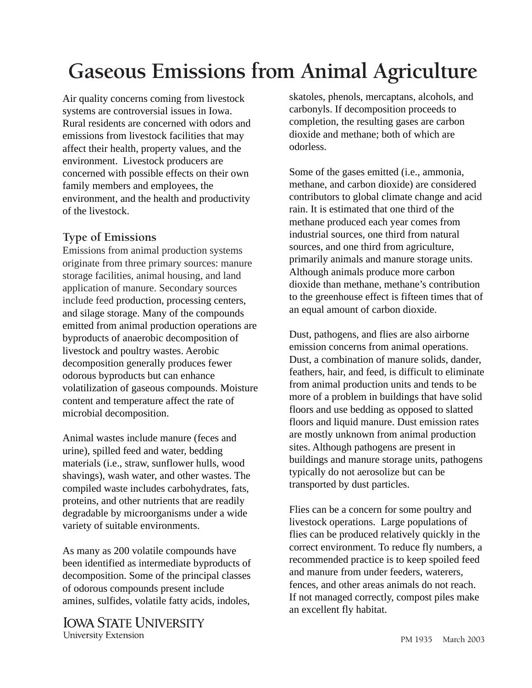# **Gaseous Emissions from Animal Agriculture**

Air quality concerns coming from livestock systems are controversial issues in Iowa. Rural residents are concerned with odors and emissions from livestock facilities that may affect their health, property values, and the environment. Livestock producers are concerned with possible effects on their own family members and employees, the environment, and the health and productivity of the livestock.

### **Type of Emissions**

Emissions from animal production systems originate from three primary sources: manure storage facilities, animal housing, and land application of manure. Secondary sources include feed production, processing centers, and silage storage. Many of the compounds emitted from animal production operations are byproducts of anaerobic decomposition of livestock and poultry wastes. Aerobic decomposition generally produces fewer odorous byproducts but can enhance volatilization of gaseous compounds. Moisture content and temperature affect the rate of microbial decomposition.

Animal wastes include manure (feces and urine), spilled feed and water, bedding materials (i.e., straw, sunflower hulls, wood shavings), wash water, and other wastes. The compiled waste includes carbohydrates, fats, proteins, and other nutrients that are readily degradable by microorganisms under a wide variety of suitable environments.

As many as 200 volatile compounds have been identified as intermediate byproducts of decomposition. Some of the principal classes of odorous compounds present include amines, sulfides, volatile fatty acids, indoles,

**IOWA STATE UNIVERSITY University Extension** 

skatoles, phenols, mercaptans, alcohols, and carbonyls. If decomposition proceeds to completion, the resulting gases are carbon dioxide and methane; both of which are odorless.

Some of the gases emitted (i.e., ammonia, methane, and carbon dioxide) are considered contributors to global climate change and acid rain. It is estimated that one third of the methane produced each year comes from industrial sources, one third from natural sources, and one third from agriculture, primarily animals and manure storage units. Although animals produce more carbon dioxide than methane, methane's contribution to the greenhouse effect is fifteen times that of an equal amount of carbon dioxide.

Dust, pathogens, and flies are also airborne emission concerns from animal operations. Dust, a combination of manure solids, dander, feathers, hair, and feed, is difficult to eliminate from animal production units and tends to be more of a problem in buildings that have solid floors and use bedding as opposed to slatted floors and liquid manure. Dust emission rates are mostly unknown from animal production sites. Although pathogens are present in buildings and manure storage units, pathogens typically do not aerosolize but can be transported by dust particles.

Flies can be a concern for some poultry and livestock operations. Large populations of flies can be produced relatively quickly in the correct environment. To reduce fly numbers, a recommended practice is to keep spoiled feed and manure from under feeders, waterers, fences, and other areas animals do not reach. If not managed correctly, compost piles make an excellent fly habitat.